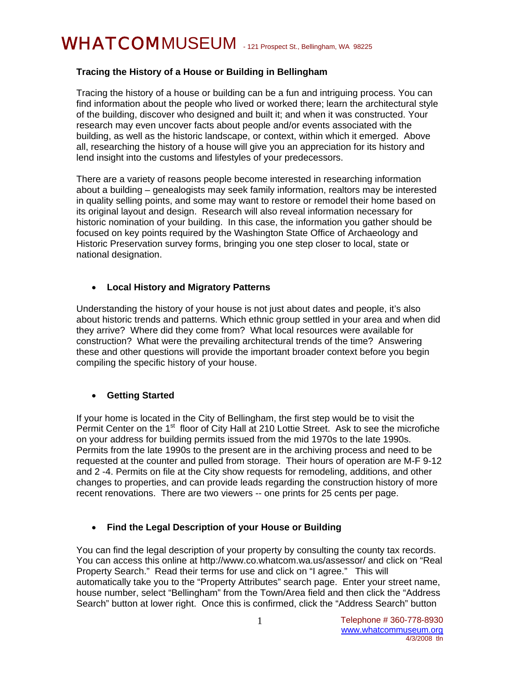# WHATCOMMUSEUM - 121 Prospect St., Bellingham, WA 98225

# **Tracing the History of a House or Building in Bellingham**

Tracing the history of a house or building can be a fun and intriguing process. You can find information about the people who lived or worked there; learn the architectural style of the building, discover who designed and built it; and when it was constructed. Your research may even uncover facts about people and/or events associated with the building, as well as the historic landscape, or context, within which it emerged. Above all, researching the history of a house will give you an appreciation for its history and lend insight into the customs and lifestyles of your predecessors.

There are a variety of reasons people become interested in researching information about a building – genealogists may seek family information, realtors may be interested in quality selling points, and some may want to restore or remodel their home based on its original layout and design. Research will also reveal information necessary for historic nomination of your building. In this case, the information you gather should be focused on key points required by the Washington State Office of Archaeology and Historic Preservation survey forms, bringing you one step closer to local, state or national designation.

# • **Local History and Migratory Patterns**

Understanding the history of your house is not just about dates and people, it's also about historic trends and patterns. Which ethnic group settled in your area and when did they arrive? Where did they come from? What local resources were available for construction? What were the prevailing architectural trends of the time? Answering these and other questions will provide the important broader context before you begin compiling the specific history of your house.

# • **Getting Started**

If your home is located in the City of Bellingham, the first step would be to visit the Permit Center on the 1<sup>st</sup> floor of City Hall at 210 Lottie Street. Ask to see the microfiche on your address for building permits issued from the mid 1970s to the late 1990s. Permits from the late 1990s to the present are in the archiving process and need to be requested at the counter and pulled from storage. Their hours of operation are M-F 9-12 and 2 -4. Permits on file at the City show requests for remodeling, additions, and other changes to properties, and can provide leads regarding the construction history of more recent renovations. There are two viewers -- one prints for 25 cents per page.

### • **Find the Legal Description of your House or Building**

You can find the legal description of your property by consulting the county tax records. You can access this online at http://www.co.whatcom.wa.us/assessor/ and click on "Real Property Search." Read their terms for use and click on "I agree." This will automatically take you to the "Property Attributes" search page. Enter your street name, house number, select "Bellingham" from the Town/Area field and then click the "Address Search" button at lower right. Once this is confirmed, click the "Address Search" button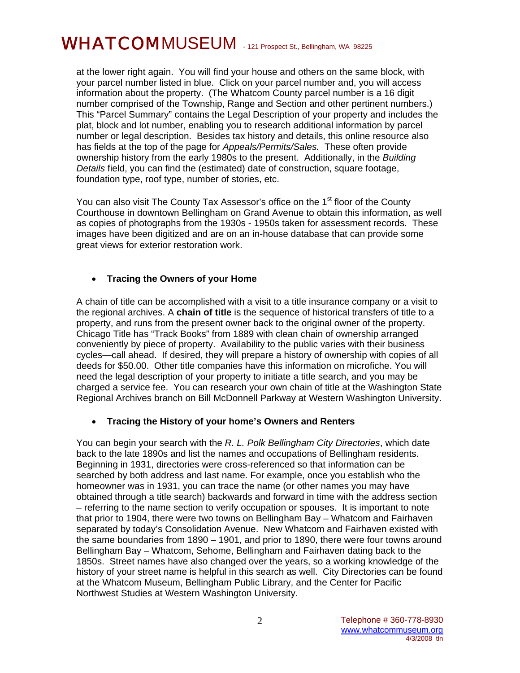# WHATCOMMUSEUM - 121 Prospect St., Bellingham, WA 98225

at the lower right again. You will find your house and others on the same block, with your parcel number listed in blue. Click on your parcel number and, you will access information about the property. (The Whatcom County parcel number is a 16 digit number comprised of the Township, Range and Section and other pertinent numbers.) This "Parcel Summary" contains the Legal Description of your property and includes the plat, block and lot number, enabling you to research additional information by parcel number or legal description. Besides tax history and details, this online resource also has fields at the top of the page for *Appeals/Permits/Sales.* These often provide ownership history from the early 1980s to the present. Additionally, in the *Building Details* field, you can find the (estimated) date of construction, square footage, foundation type, roof type, number of stories, etc.

You can also visit The County Tax Assessor's office on the 1<sup>st</sup> floor of the County Courthouse in downtown Bellingham on Grand Avenue to obtain this information, as well as copies of photographs from the 1930s - 1950s taken for assessment records. These images have been digitized and are on an in-house database that can provide some great views for exterior restoration work.

### • **Tracing the Owners of your Home**

A chain of title can be accomplished with a visit to a title insurance company or a visit to the regional archives. A **chain of title** is the sequence of historical transfers of title to a property, and runs from the present owner back to the original owner of the property. Chicago Title has "Track Books" from 1889 with clean chain of ownership arranged conveniently by piece of property. Availability to the public varies with their business cycles—call ahead. If desired, they will prepare a history of ownership with copies of all deeds for \$50.00. Other title companies have this information on microfiche. You will need the legal description of your property to initiate a title search, and you may be charged a service fee. You can research your own chain of title at the Washington State Regional Archives branch on Bill McDonnell Parkway at Western Washington University.

### • **Tracing the History of your home's Owners and Renters**

You can begin your search with the *R. L. Polk Bellingham City Directories*, which date back to the late 1890s and list the names and occupations of Bellingham residents. Beginning in 1931, directories were cross-referenced so that information can be searched by both address and last name. For example, once you establish who the homeowner was in 1931, you can trace the name (or other names you may have obtained through a title search) backwards and forward in time with the address section – referring to the name section to verify occupation or spouses. It is important to note that prior to 1904, there were two towns on Bellingham Bay – Whatcom and Fairhaven separated by today's Consolidation Avenue. New Whatcom and Fairhaven existed with the same boundaries from 1890 – 1901, and prior to 1890, there were four towns around Bellingham Bay – Whatcom, Sehome, Bellingham and Fairhaven dating back to the 1850s. Street names have also changed over the years, so a working knowledge of the history of your street name is helpful in this search as well. City Directories can be found at the Whatcom Museum, Bellingham Public Library, and the Center for Pacific Northwest Studies at Western Washington University.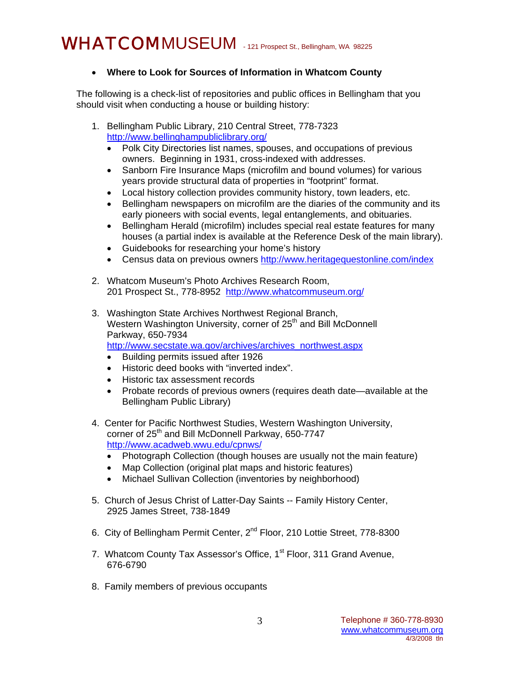# WHATCOMMUSEUM - 121 Prospect St., Bellingham, WA 98225

# • **Where to Look for Sources of Information in Whatcom County**

The following is a check-list of repositories and public offices in Bellingham that you should visit when conducting a house or building history:

- 1. Bellingham Public Library, 210 Central Street, 778-7323 <http://www.bellinghampubliclibrary.org/>
	- Polk City Directories list names, spouses, and occupations of previous owners. Beginning in 1931, cross-indexed with addresses.
	- Sanborn Fire Insurance Maps (microfilm and bound volumes) for various years provide structural data of properties in "footprint" format.
	- Local history collection provides community history, town leaders, etc.
	- Bellingham newspapers on microfilm are the diaries of the community and its early pioneers with social events, legal entanglements, and obituaries.
	- Bellingham Herald (microfilm) includes special real estate features for many houses (a partial index is available at the Reference Desk of the main library).
	- Guidebooks for researching your home's history
	- Census data on previous owners<http://www.heritagequestonline.com/index>
- 2. Whatcom Museum's Photo Archives Research Room, 201 Prospect St., 778-8952 <http://www.whatcommuseum.org/>
- 3. Washington State Archives Northwest Regional Branch, Western Washington University, corner of 25<sup>th</sup> and Bill McDonnell Parkway, 650-7934 [http://www.secstate.wa.gov/archives/archives\\_northwest.aspx](http://www.secstate.wa.gov/archives/archives_northwest.aspx)
	- Building permits issued after 1926
	- Historic deed books with "inverted index".
	- Historic tax assessment records
	- Probate records of previous owners (requires death date—available at the Bellingham Public Library)
- 4. Center for Pacific Northwest Studies, Western Washington University, corner of 25<sup>th</sup> and Bill McDonnell Parkway, 650-7747 <http://www.acadweb.wwu.edu/cpnws/>
	- Photograph Collection (though houses are usually not the main feature)
	- Map Collection (original plat maps and historic features)
	- Michael Sullivan Collection (inventories by neighborhood)
- 5. Church of Jesus Christ of Latter-Day Saints -- Family History Center, 2925 James Street, 738-1849
- 6. City of Bellingham Permit Center, 2nd Floor, 210 Lottie Street, 778-8300
- 7. Whatcom County Tax Assessor's Office, 1<sup>st</sup> Floor, 311 Grand Avenue, 676-6790
- 8. Family members of previous occupants